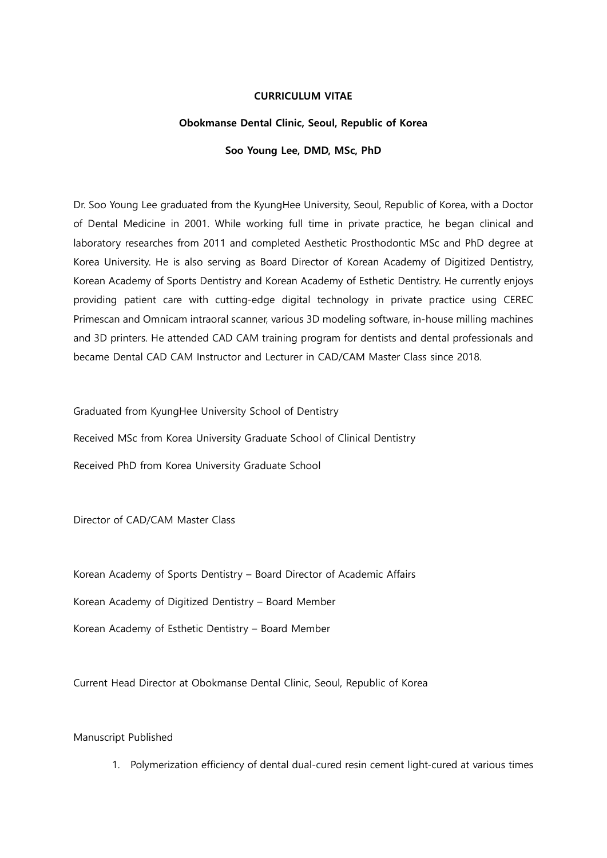## CURRICULUM VITAE

## Obokmanse Dental Clinic, Seoul, Republic of Korea

## Soo Young Lee, DMD, MSc, PhD

Dr. Soo Young Lee graduated from the KyungHee University, Seoul, Republic of Korea, with a Doctor of Dental Medicine in 2001. While working full time in private practice, he began clinical and laboratory researches from 2011 and completed Aesthetic Prosthodontic MSc and PhD degree at Korea University. He is also serving as Board Director of Korean Academy of Digitized Dentistry, Korean Academy of Sports Dentistry and Korean Academy of Esthetic Dentistry. He currently enjoys providing patient care with cutting-edge digital technology in private practice using CEREC Primescan and Omnicam intraoral scanner, various 3D modeling software, in-house milling machines and 3D printers. He attended CAD CAM training program for dentists and dental professionals and became Dental CAD CAM Instructor and Lecturer in CAD/CAM Master Class since 2018.

Graduated from KyungHee University School of Dentistry

Received MSc from Korea University Graduate School of Clinical Dentistry Received PhD from Korea University Graduate School

Director of CAD/CAM Master Class

Korean Academy of Sports Dentistry – Board Director of Academic Affairs

Korean Academy of Digitized Dentistry – Board Member

Korean Academy of Esthetic Dentistry – Board Member

Current Head Director at Obokmanse Dental Clinic, Seoul, Republic of Korea

Manuscript Published

1. Polymerization efficiency of dental dual-cured resin cement light-cured at various times